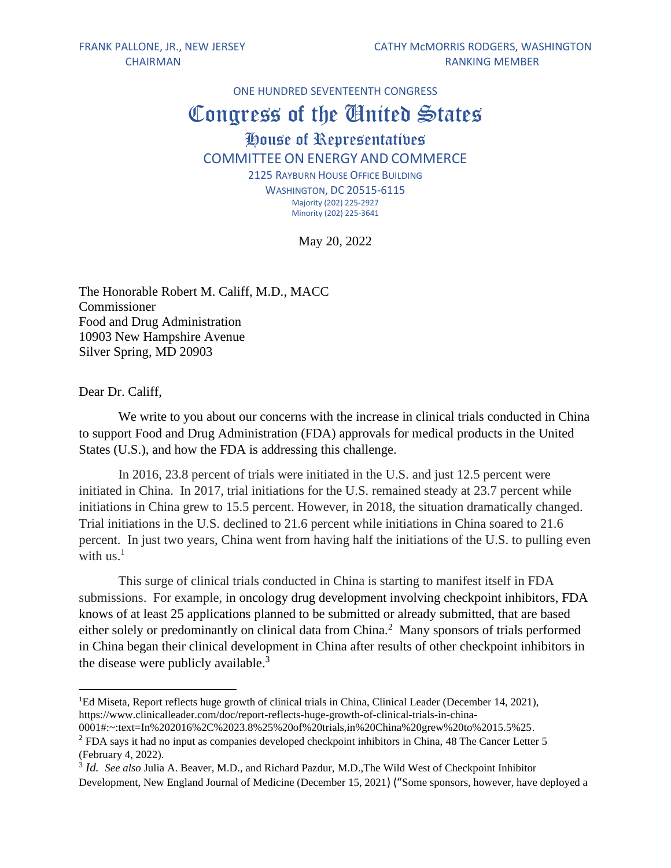ONE HUNDRED SEVENTEENTH CONGRESS

## Congress of the United States

## House of Representatives COMMITTEE ON ENERGY AND COMMERCE

2125 RAYBURN HOUSE OFFICE BUILDING WASHINGTON, DC 20515-6115 Majority (202) 225-2927 Minority (202) 225-3641

May 20, 2022

The Honorable Robert M. Califf, M.D., MACC Commissioner Food and Drug Administration 10903 New Hampshire Avenue Silver Spring, MD 20903

Dear Dr. Califf,

We write to you about our concerns with the increase in clinical trials conducted in China to support Food and Drug Administration (FDA) approvals for medical products in the United States (U.S.), and how the FDA is addressing this challenge.

In 2016, 23.8 percent of trials were initiated in the U.S. and just 12.5 percent were initiated in China. In 2017, trial initiations for the U.S. remained steady at 23.7 percent while initiations in China grew to 15.5 percent. However, in 2018, the situation dramatically changed. Trial initiations in the U.S. declined to 21.6 percent while initiations in China soared to 21.6 percent. In just two years, China went from having half the initiations of the U.S. to pulling even with  $us.<sup>1</sup>$ 

This surge of clinical trials conducted in China is starting to manifest itself in FDA submissions. For example, in oncology drug development involving checkpoint inhibitors, FDA knows of at least 25 applications planned to be submitted or already submitted, that are based either solely or predominantly on clinical data from China.<sup>2</sup> Many sponsors of trials performed in China began their clinical development in China after results of other checkpoint inhibitors in the disease were publicly available.<sup>3</sup>

<sup>1</sup>Ed Miseta, Report reflects huge growth of clinical trials in China, Clinical Leader (December 14, 2021), https://www.clinicalleader.com/doc/report-reflects-huge-growth-of-clinical-trials-in-china-0001#:~:text=In%202016%2C%2023.8%25%20of%20trials,in%20China%20grew%20to%2015.5%25.

<sup>2</sup> FDA says it had no input as companies developed checkpoint inhibitors in China, 48 The Cancer Letter 5 (February 4, 2022).

<sup>3</sup> *Id. See also* Julia A. Beaver, M.D., and Richard Pazdur, M.D.,The Wild West of Checkpoint Inhibitor Development, New England Journal of Medicine (December 15, 2021) ("Some sponsors, however, have deployed a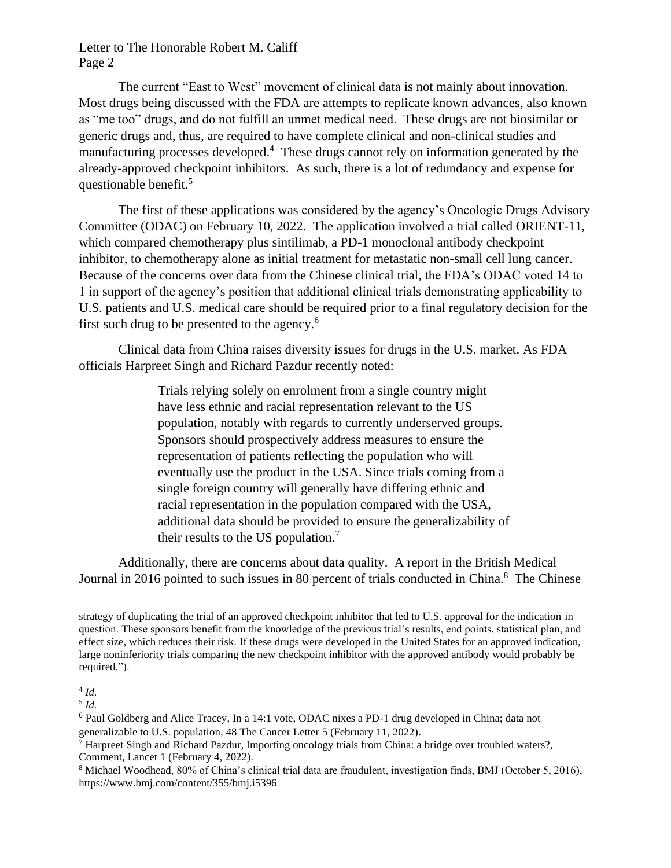Letter to The Honorable Robert M. Califf Page 2

The current "East to West" movement of clinical data is not mainly about innovation. Most drugs being discussed with the FDA are attempts to replicate known advances, also known as "me too" drugs, and do not fulfill an unmet medical need. These drugs are not biosimilar or generic drugs and, thus, are required to have complete clinical and non-clinical studies and manufacturing processes developed.<sup>4</sup> These drugs cannot rely on information generated by the already-approved checkpoint inhibitors. As such, there is a lot of redundancy and expense for questionable benefit.<sup>5</sup>

The first of these applications was considered by the agency's Oncologic Drugs Advisory Committee (ODAC) on February 10, 2022. The application involved a trial called ORIENT-11, which compared chemotherapy plus sintilimab, a PD-1 monoclonal antibody checkpoint inhibitor, to chemotherapy alone as initial treatment for metastatic non-small cell lung cancer. Because of the concerns over data from the Chinese clinical trial, the FDA's ODAC voted 14 to 1 in support of the agency's position that additional clinical trials demonstrating applicability to U.S. patients and U.S. medical care should be required prior to a final regulatory decision for the first such drug to be presented to the agency.<sup>6</sup>

Clinical data from China raises diversity issues for drugs in the U.S. market. As FDA officials Harpreet Singh and Richard Pazdur recently noted:

> Trials relying solely on enrolment from a single country might have less ethnic and racial representation relevant to the US population, notably with regards to currently underserved groups. Sponsors should prospectively address measures to ensure the representation of patients reflecting the population who will eventually use the product in the USA. Since trials coming from a single foreign country will generally have differing ethnic and racial representation in the population compared with the USA, additional data should be provided to ensure the generalizability of their results to the US population.<sup>7</sup>

Additionally, there are concerns about data quality. A report in the British Medical Journal in 2016 pointed to such issues in 80 percent of trials conducted in China.<sup>8</sup> The Chinese

strategy of duplicating the trial of an approved checkpoint inhibitor that led to U.S. approval for the indication in question. These sponsors benefit from the knowledge of the previous trial's results, end points, statistical plan, and effect size, which reduces their risk. If these drugs were developed in the United States for an approved indication, large noninferiority trials comparing the new checkpoint inhibitor with the approved antibody would probably be required.").

<sup>4</sup> *Id.* 5 *Id.*

<sup>6</sup> Paul Goldberg and Alice Tracey, In a 14:1 vote, ODAC nixes a PD-1 drug developed in China; data not generalizable to U.S. population, 48 The Cancer Letter 5 (February 11, 2022).

<sup>&</sup>lt;sup>7</sup> Harpreet Singh and Richard Pazdur, Importing oncology trials from China: a bridge over troubled waters?, Comment, Lancet 1 (February 4, 2022).

<sup>8</sup> Michael Woodhead, 80% of China's clinical trial data are fraudulent, investigation finds, BMJ (October 5, 2016), https://www.bmj.com/content/355/bmj.i5396